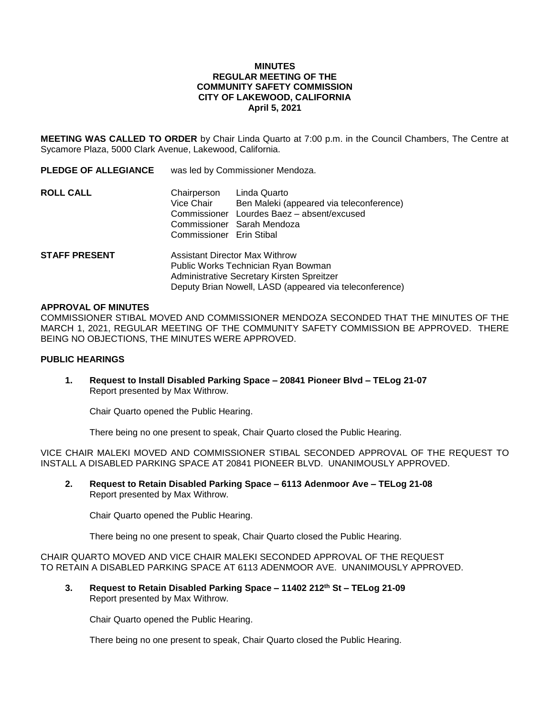### **MINUTES REGULAR MEETING OF THE COMMUNITY SAFETY COMMISSION CITY OF LAKEWOOD, CALIFORNIA April 5, 2021**

**MEETING WAS CALLED TO ORDER** by Chair Linda Quarto at 7:00 p.m. in the Council Chambers, The Centre at Sycamore Plaza, 5000 Clark Avenue, Lakewood, California.

| <b>PLEDGE OF ALLEGIANCE</b> | was led by Commissioner Mendoza.                                                                                                                                               |                                                                                                                         |
|-----------------------------|--------------------------------------------------------------------------------------------------------------------------------------------------------------------------------|-------------------------------------------------------------------------------------------------------------------------|
| ROLL CALL                   | Chairperson<br>Vice Chair<br>Commissioner<br>Commissioner Erin Stibal                                                                                                          | Linda Quarto<br>Ben Maleki (appeared via teleconference)<br>Lourdes Baez - absent/excused<br>Commissioner Sarah Mendoza |
| <b>STAFF PRESENT</b>        | Assistant Director Max Withrow<br>Public Works Technician Ryan Bowman<br>Administrative Secretary Kirsten Spreitzer<br>Deputy Brian Nowell, LASD (appeared via teleconference) |                                                                                                                         |

#### **APPROVAL OF MINUTES**

COMMISSIONER STIBAL MOVED AND COMMISSIONER MENDOZA SECONDED THAT THE MINUTES OF THE MARCH 1, 2021, REGULAR MEETING OF THE COMMUNITY SAFETY COMMISSION BE APPROVED. THERE BEING NO OBJECTIONS, THE MINUTES WERE APPROVED.

## **PUBLIC HEARINGS**

**1. Request to Install Disabled Parking Space – 20841 Pioneer Blvd – TELog 21-07** Report presented by Max Withrow.

Chair Quarto opened the Public Hearing.

There being no one present to speak, Chair Quarto closed the Public Hearing.

VICE CHAIR MALEKI MOVED AND COMMISSIONER STIBAL SECONDED APPROVAL OF THE REQUEST TO INSTALL A DISABLED PARKING SPACE AT 20841 PIONEER BLVD. UNANIMOUSLY APPROVED.

**2. Request to Retain Disabled Parking Space – 6113 Adenmoor Ave – TELog 21-08** Report presented by Max Withrow.

Chair Quarto opened the Public Hearing.

There being no one present to speak, Chair Quarto closed the Public Hearing.

CHAIR QUARTO MOVED AND VICE CHAIR MALEKI SECONDED APPROVAL OF THE REQUEST TO RETAIN A DISABLED PARKING SPACE AT 6113 ADENMOOR AVE. UNANIMOUSLY APPROVED.

**3. Request to Retain Disabled Parking Space – 11402 212th St – TELog 21-09** Report presented by Max Withrow.

Chair Quarto opened the Public Hearing.

There being no one present to speak, Chair Quarto closed the Public Hearing.